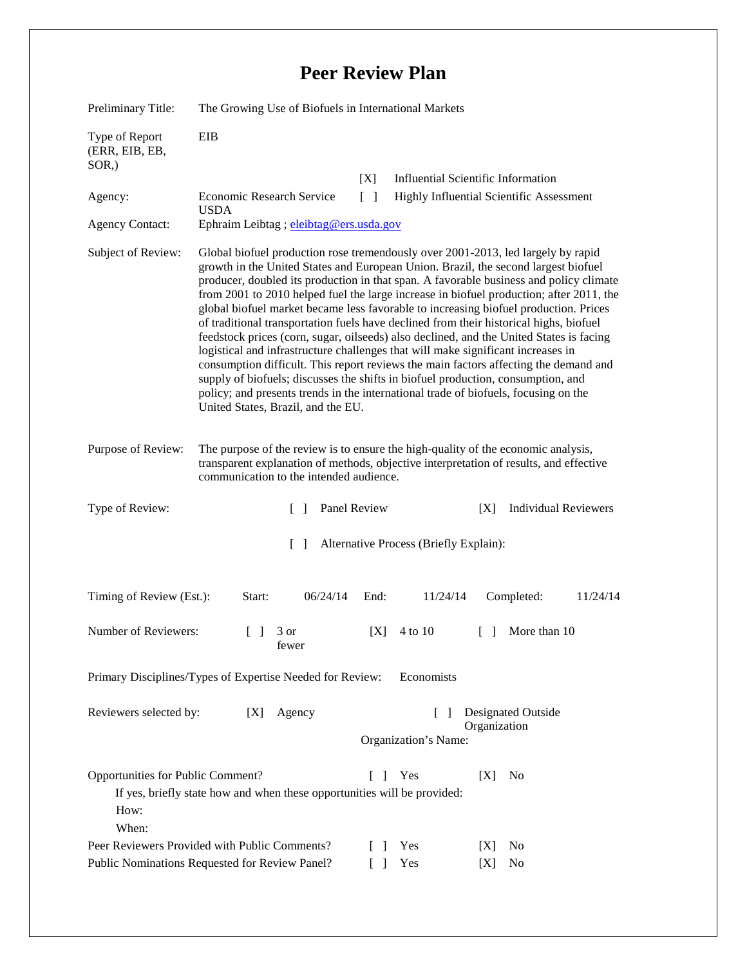## **Peer Review Plan**

| Preliminary Title:                                       | The Growing Use of Biofuels in International Markets                                                                                                                                                                                                                                                                                                                                                                                                                                                                                                                                                                                                                                                                                                                                                                                                                                                                                                                                                                                  |                 |                                                 |                             |
|----------------------------------------------------------|---------------------------------------------------------------------------------------------------------------------------------------------------------------------------------------------------------------------------------------------------------------------------------------------------------------------------------------------------------------------------------------------------------------------------------------------------------------------------------------------------------------------------------------------------------------------------------------------------------------------------------------------------------------------------------------------------------------------------------------------------------------------------------------------------------------------------------------------------------------------------------------------------------------------------------------------------------------------------------------------------------------------------------------|-----------------|-------------------------------------------------|-----------------------------|
| Type of Report<br>(ERR, EIB, EB,<br>$SOR$ <sub>,</sub> ) | EIB                                                                                                                                                                                                                                                                                                                                                                                                                                                                                                                                                                                                                                                                                                                                                                                                                                                                                                                                                                                                                                   |                 |                                                 |                             |
|                                                          |                                                                                                                                                                                                                                                                                                                                                                                                                                                                                                                                                                                                                                                                                                                                                                                                                                                                                                                                                                                                                                       | [X]             | <b>Influential Scientific Information</b>       |                             |
| Agency:                                                  | Economic Research Service                                                                                                                                                                                                                                                                                                                                                                                                                                                                                                                                                                                                                                                                                                                                                                                                                                                                                                                                                                                                             | $\lceil \rceil$ | <b>Highly Influential Scientific Assessment</b> |                             |
| <b>Agency Contact:</b>                                   | <b>USDA</b><br>Ephraim Leibtag; eleibtag@ers.usda.gov                                                                                                                                                                                                                                                                                                                                                                                                                                                                                                                                                                                                                                                                                                                                                                                                                                                                                                                                                                                 |                 |                                                 |                             |
| Subject of Review:                                       | Global biofuel production rose tremendously over 2001-2013, led largely by rapid<br>growth in the United States and European Union. Brazil, the second largest biofuel<br>producer, doubled its production in that span. A favorable business and policy climate<br>from 2001 to 2010 helped fuel the large increase in biofuel production; after 2011, the<br>global biofuel market became less favorable to increasing biofuel production. Prices<br>of traditional transportation fuels have declined from their historical highs, biofuel<br>feedstock prices (corn, sugar, oilseeds) also declined, and the United States is facing<br>logistical and infrastructure challenges that will make significant increases in<br>consumption difficult. This report reviews the main factors affecting the demand and<br>supply of biofuels; discusses the shifts in biofuel production, consumption, and<br>policy; and presents trends in the international trade of biofuels, focusing on the<br>United States, Brazil, and the EU. |                 |                                                 |                             |
| Purpose of Review:                                       | The purpose of the review is to ensure the high-quality of the economic analysis,<br>transparent explanation of methods, objective interpretation of results, and effective<br>communication to the intended audience.                                                                                                                                                                                                                                                                                                                                                                                                                                                                                                                                                                                                                                                                                                                                                                                                                |                 |                                                 |                             |
| Type of Review:                                          | Panel Review<br>$\mathcal{L}$                                                                                                                                                                                                                                                                                                                                                                                                                                                                                                                                                                                                                                                                                                                                                                                                                                                                                                                                                                                                         |                 | [X]                                             |                             |
|                                                          |                                                                                                                                                                                                                                                                                                                                                                                                                                                                                                                                                                                                                                                                                                                                                                                                                                                                                                                                                                                                                                       |                 |                                                 | <b>Individual Reviewers</b> |
|                                                          | $\Box$                                                                                                                                                                                                                                                                                                                                                                                                                                                                                                                                                                                                                                                                                                                                                                                                                                                                                                                                                                                                                                |                 | Alternative Process (Briefly Explain):          |                             |
| Timing of Review (Est.):                                 | 06/24/14<br>Start:                                                                                                                                                                                                                                                                                                                                                                                                                                                                                                                                                                                                                                                                                                                                                                                                                                                                                                                                                                                                                    | End:            | 11/24/14                                        | Completed:<br>11/24/14      |
| Number of Reviewers:                                     | $\begin{bmatrix} 1 & 3 \end{bmatrix}$<br>rewer                                                                                                                                                                                                                                                                                                                                                                                                                                                                                                                                                                                                                                                                                                                                                                                                                                                                                                                                                                                        | [X]             | 4 to 10<br>$\Box$                               | More than 10                |
|                                                          | Primary Disciplines/Types of Expertise Needed for Review:                                                                                                                                                                                                                                                                                                                                                                                                                                                                                                                                                                                                                                                                                                                                                                                                                                                                                                                                                                             |                 | Economists                                      |                             |
| Reviewers selected by:                                   | Agency<br>[X]                                                                                                                                                                                                                                                                                                                                                                                                                                                                                                                                                                                                                                                                                                                                                                                                                                                                                                                                                                                                                         |                 | Organization                                    | Designated Outside          |
|                                                          |                                                                                                                                                                                                                                                                                                                                                                                                                                                                                                                                                                                                                                                                                                                                                                                                                                                                                                                                                                                                                                       |                 | Organization's Name:                            |                             |
| Opportunities for Public Comment?<br>How:<br>When:       | If yes, briefly state how and when these opportunities will be provided:                                                                                                                                                                                                                                                                                                                                                                                                                                                                                                                                                                                                                                                                                                                                                                                                                                                                                                                                                              | $\Box$          | Yes<br>[X]                                      | N <sub>0</sub>              |
|                                                          | Peer Reviewers Provided with Public Comments?                                                                                                                                                                                                                                                                                                                                                                                                                                                                                                                                                                                                                                                                                                                                                                                                                                                                                                                                                                                         | $\Box$          | Yes<br>[X]                                      | No                          |